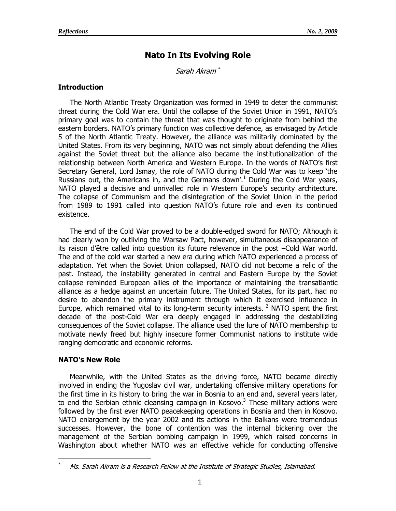# **Nato In Its Evolving Role**

Sarah Akram *\**

## **Introduction**

The North Atlantic Treaty Organization was formed in 1949 to deter the communist threat during the Cold War era. Until the collapse of the Soviet Union in 1991, NATO"s primary goal was to contain the threat that was thought to originate from behind the eastern borders. NATO"s primary function was collective defence, as envisaged by Article 5 of the North Atlantic Treaty. However, the alliance was militarily dominated by the United States. From its very beginning, NATO was not simply about defending the Allies against the Soviet threat but the alliance also became the institutionalization of the relationship between North America and Western Europe. In the words of NATO"s first Secretary General, Lord Ismay, the role of NATO during the Cold War was to keep "the Russians out, the Americans in, and the Germans down'.<sup>1</sup> During the Cold War years, NATO played a decisive and unrivalled role in Western Europe's security architecture. The collapse of Communism and the disintegration of the Soviet Union in the period from 1989 to 1991 called into question NATO"s future role and even its continued existence.

The end of the Cold War proved to be a double-edged sword for NATO; Although it had clearly won by outliving the Warsaw Pact, however, simultaneous disappearance of its raison d"être called into question its future relevance in the post –Cold War world. The end of the cold war started a new era during which NATO experienced a process of adaptation. Yet when the Soviet Union collapsed, NATO did not become a relic of the past. Instead, the instability generated in central and Eastern Europe by the Soviet collapse reminded European allies of the importance of maintaining the transatlantic alliance as a hedge against an uncertain future. The United States, for its part, had no desire to abandon the primary instrument through which it exercised influence in Europe, which remained vital to its long-term security interests.  $2$  NATO spent the first decade of the post-Cold War era deeply engaged in addressing the destabilizing consequences of the Soviet collapse. The alliance used the lure of NATO membership to motivate newly freed but highly insecure former Communist nations to institute wide ranging democratic and economic reforms.

## **NATO's New Role**

 $\overline{a}$ 

Meanwhile, with the United States as the driving force, NATO became directly involved in ending the Yugoslav civil war, undertaking offensive military operations for the first time in its history to bring the war in Bosnia to an end and, several years later, to end the Serbian ethnic cleansing campaign in Kosovo.<sup>3</sup> These military actions were followed by the first ever NATO peacekeeping operations in Bosnia and then in Kosovo. NATO enlargement by the year 2002 and its actions in the Balkans were tremendous successes. However, the bone of contention was the internal bickering over the management of the Serbian bombing campaign in 1999, which raised concerns in Washington about whether NATO was an effective vehicle for conducting offensive

<sup>\*</sup> Ms. Sarah Akram is a Research Fellow at the Institute of Strategic Studies, Islamabad*.*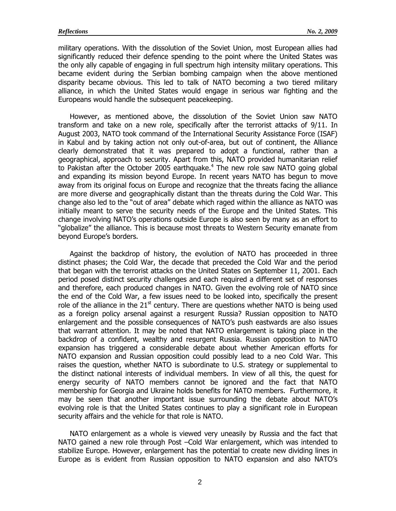military operations. With the dissolution of the Soviet Union, most European allies had significantly reduced their defence spending to the point where the United States was the only ally capable of engaging in full spectrum high intensity military operations. This became evident during the Serbian bombing campaign when the above mentioned disparity became obvious. This led to talk of NATO becoming a two tiered military alliance, in which the United States would engage in serious war fighting and the Europeans would handle the subsequent peacekeeping.

However, as mentioned above, the dissolution of the Soviet Union saw NATO transform and take on a new role, specifically after the terrorist attacks of 9/11. In August 2003, NATO took command of the International Security Assistance Force (ISAF) in Kabul and by taking action not only out-of-area, but out of continent, the Alliance clearly demonstrated that it was prepared to adopt a functional, rather than a geographical, approach to security. Apart from this, NATO provided humanitarian relief to Pakistan after the October 2005 earthquake.<sup>4</sup> The new role saw NATO going global and expanding its mission beyond Europe. In recent years NATO has begun to move away from its original focus on Europe and recognize that the threats facing the alliance are more diverse and geographically distant than the threats during the Cold War. This change also led to the "out of area" debate which raged within the alliance as NATO was initially meant to serve the security needs of the Europe and the United States. This change involving NATO"s operations outside Europe is also seen by many as an effort to "globalize" the alliance. This is because most threats to Western Security emanate from beyond Europe's borders.

Against the backdrop of history, the evolution of NATO has proceeded in three distinct phases; the Cold War, the decade that preceded the Cold War and the period that began with the terrorist attacks on the United States on September 11, 2001. Each period posed distinct security challenges and each required a different set of responses and therefore, each produced changes in NATO. Given the evolving role of NATO since the end of the Cold War, a few issues need to be looked into, specifically the present role of the alliance in the  $21<sup>st</sup>$  century. There are questions whether NATO is being used as a foreign policy arsenal against a resurgent Russia? Russian opposition to NATO enlargement and the possible consequences of NATO"s push eastwards are also issues that warrant attention. It may be noted that NATO enlargement is taking place in the backdrop of a confident, wealthy and resurgent Russia. Russian opposition to NATO expansion has triggered a considerable debate about whether American efforts for NATO expansion and Russian opposition could possibly lead to a neo Cold War. This raises the question, whether NATO is subordinate to U.S. strategy or supplemental to the distinct national interests of individual members. In view of all this, the quest for energy security of NATO members cannot be ignored and the fact that NATO membership for Georgia and Ukraine holds benefits for NATO members. Furthermore, it may be seen that another important issue surrounding the debate about NATO"s evolving role is that the United States continues to play a significant role in European security affairs and the vehicle for that role is NATO.

NATO enlargement as a whole is viewed very uneasily by Russia and the fact that NATO gained a new role through Post –Cold War enlargement, which was intended to stabilize Europe. However, enlargement has the potential to create new dividing lines in Europe as is evident from Russian opposition to NATO expansion and also NATO"s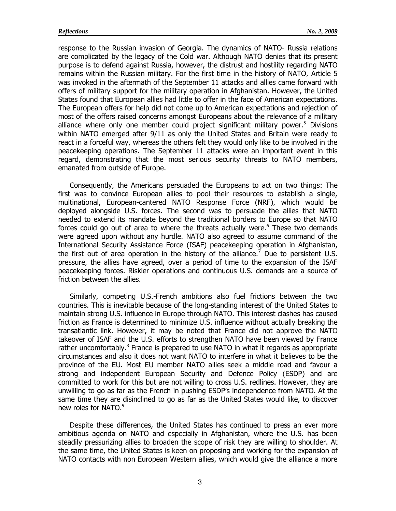response to the Russian invasion of Georgia. The dynamics of NATO- Russia relations are complicated by the legacy of the Cold war. Although NATO denies that its present purpose is to defend against Russia, however, the distrust and hostility regarding NATO remains within the Russian military. For the first time in the history of NATO, Article 5 was invoked in the aftermath of the September 11 attacks and allies came forward with offers of military support for the military operation in Afghanistan. However, the United States found that European allies had little to offer in the face of American expectations. The European offers for help did not come up to American expectations and rejection of most of the offers raised concerns amongst Europeans about the relevance of a military alliance where only one member could project significant military power.<sup>5</sup> Divisions within NATO emerged after 9/11 as only the United States and Britain were ready to react in a forceful way, whereas the others felt they would only like to be involved in the peacekeeping operations. The September 11 attacks were an important event in this regard, demonstrating that the most serious security threats to NATO members, emanated from outside of Europe.

Consequently, the Americans persuaded the Europeans to act on two things: The first was to convince European allies to pool their resources to establish a single, multinational, European-cantered NATO Response Force (NRF), which would be deployed alongside U.S. forces. The second was to persuade the allies that NATO needed to extend its mandate beyond the traditional borders to Europe so that NATO forces could go out of area to where the threats actually were. $6$  These two demands were agreed upon without any hurdle. NATO also agreed to assume command of the International Security Assistance Force (ISAF) peacekeeping operation in Afghanistan, the first out of area operation in the history of the alliance.<sup>7</sup> Due to persistent U.S. pressure, the allies have agreed, over a period of time to the expansion of the ISAF peacekeeping forces. Riskier operations and continuous U.S. demands are a source of friction between the allies.

Similarly, competing U.S.-French ambitions also fuel frictions between the two countries. This is inevitable because of the long-standing interest of the United States to maintain strong U.S. influence in Europe through NATO. This interest clashes has caused friction as France is determined to minimize U.S. influence without actually breaking the transatlantic link. However, it may be noted that France did not approve the NATO takeover of ISAF and the U.S. efforts to strengthen NATO have been viewed by France rather uncomfortably. $8$  France is prepared to use NATO in what it regards as appropriate circumstances and also it does not want NATO to interfere in what it believes to be the province of the EU. Most EU member NATO allies seek a middle road and favour a strong and independent European Security and Defence Policy (ESDP) and are committed to work for this but are not willing to cross U.S. redlines. However, they are unwilling to go as far as the French in pushing ESDP"s independence from NATO. At the same time they are disinclined to go as far as the United States would like, to discover new roles for NATO.<sup>9</sup>

Despite these differences, the United States has continued to press an ever more ambitious agenda on NATO and especially in Afghanistan, where the U.S. has been steadily pressurizing allies to broaden the scope of risk they are willing to shoulder. At the same time, the United States is keen on proposing and working for the expansion of NATO contacts with non European Western allies, which would give the alliance a more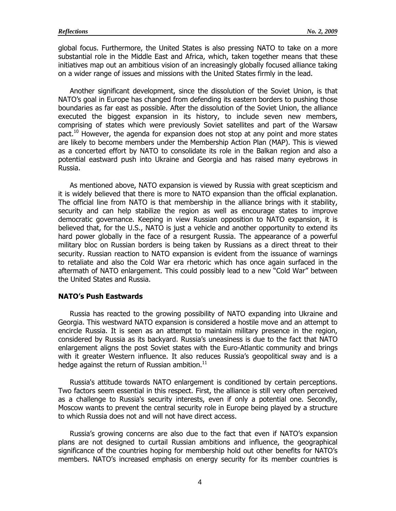global focus. Furthermore, the United States is also pressing NATO to take on a more substantial role in the Middle East and Africa, which, taken together means that these initiatives map out an ambitious vision of an increasingly globally focused alliance taking on a wider range of issues and missions with the United States firmly in the lead.

Another significant development, since the dissolution of the Soviet Union, is that NATO"s goal in Europe has changed from defending its eastern borders to pushing those boundaries as far east as possible. After the dissolution of the Soviet Union, the alliance executed the biggest expansion in its history, to include seven new members, comprising of states which were previously Soviet satellites and part of the Warsaw pact.<sup>10</sup> However, the agenda for expansion does not stop at any point and more states are likely to become members under the Membership Action Plan (MAP). This is viewed as a concerted effort by NATO to consolidate its role in the Balkan region and also a potential eastward push into Ukraine and Georgia and has raised many eyebrows in Russia.

As mentioned above, NATO expansion is viewed by Russia with great scepticism and it is widely believed that there is more to NATO expansion than the official explanation. The official line from NATO is that membership in the alliance brings with it stability, security and can help stabilize the region as well as encourage states to improve democratic governance. Keeping in view Russian opposition to NATO expansion, it is believed that, for the U.S., NATO is just a vehicle and another opportunity to extend its hard power globally in the face of a resurgent Russia. The appearance of a powerful military bloc on Russian borders is being taken by Russians as a direct threat to their security. Russian reaction to NATO expansion is evident from the issuance of warnings to retaliate and also the Cold War era rhetoric which has once again surfaced in the aftermath of NATO enlargement. This could possibly lead to a new "Cold War" between the United States and Russia.

#### **NATO's Push Eastwards**

Russia has reacted to the growing possibility of NATO expanding into Ukraine and Georgia. This westward NATO expansion is considered a hostile move and an attempt to encircle Russia. It is seen as an attempt to maintain military presence in the region, considered by Russia as its backyard. Russia"s uneasiness is due to the fact that NATO enlargement aligns the post Soviet states with the Euro-Atlantic community and brings with it greater Western influence. It also reduces Russia's geopolitical sway and is a hedge against the return of Russian ambition. $11$ 

Russia's attitude towards NATO enlargement is conditioned by certain perceptions. Two factors seem essential in this respect. First, the alliance is still very often perceived as a challenge to Russia's security interests, even if only a potential one. Secondly, Moscow wants to prevent the central security role in Europe being played by a structure to which Russia does not and will not have direct access.

Russia"s growing concerns are also due to the fact that even if NATO"s expansion plans are not designed to curtail Russian ambitions and influence, the geographical significance of the countries hoping for membership hold out other benefits for NATO"s members. NATO"s increased emphasis on energy security for its member countries is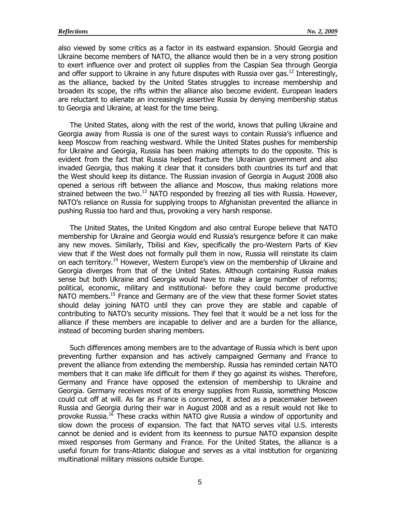also viewed by some critics as a factor in its eastward expansion. Should Georgia and Ukraine become members of NATO, the alliance would then be in a very strong position to exert influence over and protect oil supplies from the Caspian Sea through Georgia and offer support to Ukraine in any future disputes with Russia over gas.<sup>12</sup> Interestingly, as the alliance, backed by the United States struggles to increase membership and broaden its scope, the rifts within the alliance also become evident. European leaders are reluctant to alienate an increasingly assertive Russia by denying membership status to Georgia and Ukraine, at least for the time being.

The United States, along with the rest of the world, knows that pulling Ukraine and Georgia away from Russia is one of the surest ways to contain Russia"s influence and keep Moscow from reaching westward. While the United States pushes for membership for Ukraine and Georgia, Russia has been making attempts to do the opposite. This is evident from the fact that Russia helped fracture the Ukrainian government and also invaded Georgia, thus making it clear that it considers both countries its turf and that the West should keep its distance. The Russian invasion of Georgia in August 2008 also opened a serious rift between the alliance and Moscow, thus making relations more strained between the two.<sup>13</sup> NATO responded by freezing all ties with Russia. However, NATO's reliance on Russia for supplying troops to Afghanistan prevented the alliance in pushing Russia too hard and thus, provoking a very harsh response.

The United States, the United Kingdom and also central Europe believe that NATO membership for Ukraine and Georgia would end Russia"s resurgence before it can make any new moves. Similarly, Tbilisi and Kiev, specifically the pro-Western Parts of Kiev view that if the West does not formally pull them in now, Russia will reinstate its claim on each territory.<sup>14</sup> However, Western Europe's view on the membership of Ukraine and Georgia diverges from that of the United States. Although containing Russia makes sense but both Ukraine and Georgia would have to make a large number of reforms; political, economic, military and institutional- before they could become productive NATO members.<sup>15</sup> France and Germany are of the view that these former Soviet states should delay joining NATO until they can prove they are stable and capable of contributing to NATO"s security missions. They feel that it would be a net loss for the alliance if these members are incapable to deliver and are a burden for the alliance, instead of becoming burden sharing members.

Such differences among members are to the advantage of Russia which is bent upon preventing further expansion and has actively campaigned Germany and France to prevent the alliance from extending the membership. Russia has reminded certain NATO members that it can make life difficult for them if they go against its wishes. Therefore, Germany and France have opposed the extension of membership to Ukraine and Georgia. Germany receives most of its energy supplies from Russia, something Moscow could cut off at will. As far as France is concerned, it acted as a peacemaker between Russia and Georgia during their war in August 2008 and as a result would not like to provoke Russia.<sup>16</sup> These cracks within NATO give Russia a window of opportunity and slow down the process of expansion. The fact that NATO serves vital U.S. interests cannot be denied and is evident from its keenness to pursue NATO expansion despite mixed responses from Germany and France. For the United States, the alliance is a useful forum for trans-Atlantic dialogue and serves as a vital institution for organizing multinational military missions outside Europe.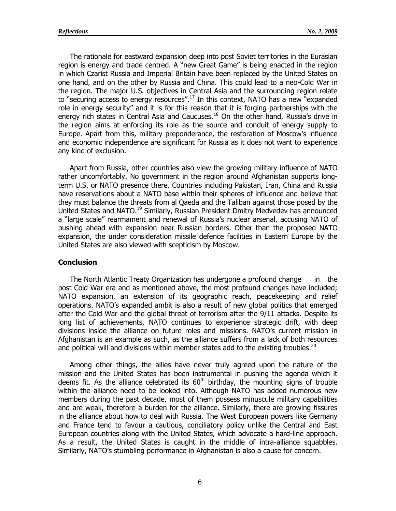The rationale for eastward expansion deep into post Soviet territories in the Eurasian region is energy and trade centred. A "new Great Game" is being enacted in the region in which Czarist Russia and Imperial Britain have been replaced by the United States on one hand, and on the other by Russia and China. This could lead to a neo-Cold War in the region. The major U.S. objectives in Central Asia and the surrounding region relate to "securing access to energy resources".<sup>17</sup> In this context, NATO has a new "expanded role in energy security" and it is for this reason that it is forging partnerships with the energy rich states in Central Asia and Caucuses.<sup>18</sup> On the other hand, Russia's drive in the region aims at enforcing its role as the source and conduit of energy supply to Europe. Apart from this, military preponderance, the restoration of Moscow"s influence and economic independence are significant for Russia as it does not want to experience any kind of exclusion.

Apart from Russia, other countries also view the growing military influence of NATO rather uncomfortably. No government in the region around Afghanistan supports longterm U.S. or NATO presence there. Countries including Pakistan, Iran, China and Russia have reservations about a NATO base within their spheres of influence and believe that they must balance the threats from al Qaeda and the Taliban against those posed by the United States and NATO.<sup>19</sup> Similarly, Russian President Dmitry Medvedev has announced a "large scale" rearmament and renewal of Russia"s nuclear arsenal, accusing NATO of pushing ahead with expansion near Russian borders. Other than the proposed NATO expansion, the under consideration missile defence facilities in Eastern Europe by the United States are also viewed with scepticism by Moscow.

### **Conclusion**

The North Atlantic Treaty Organization has undergone a profound change in the post Cold War era and as mentioned above, the most profound changes have included; NATO expansion, an extension of its geographic reach, peacekeeping and relief operations. NATO"s expanded ambit is also a result of new global politics that emerged after the Cold War and the global threat of terrorism after the 9/11 attacks. Despite its long list of achievements, NATO continues to experience strategic drift, with deep divisions inside the alliance on future roles and missions. NATO"s current mission in Afghanistan is an example as such, as the alliance suffers from a lack of both resources and political will and divisions within member states add to the existing troubles.<sup>20</sup>

Among other things, the allies have never truly agreed upon the nature of the mission and the United States has been instrumental in pushing the agenda which it deems fit. As the alliance celebrated its  $60<sup>th</sup>$  birthday, the mounting signs of trouble within the alliance need to be looked into. Although NATO has added numerous new members during the past decade, most of them possess minuscule military capabilities and are weak, therefore a burden for the alliance. Similarly, there are growing fissures in the alliance about how to deal with Russia. The West European powers like Germany and France tend to favour a cautious, conciliatory policy unlike the Central and East European countries along with the United States, which advocate a hard-line approach. As a result, the United States is caught in the middle of intra-alliance squabbles. Similarly, NATO"s stumbling performance in Afghanistan is also a cause for concern.